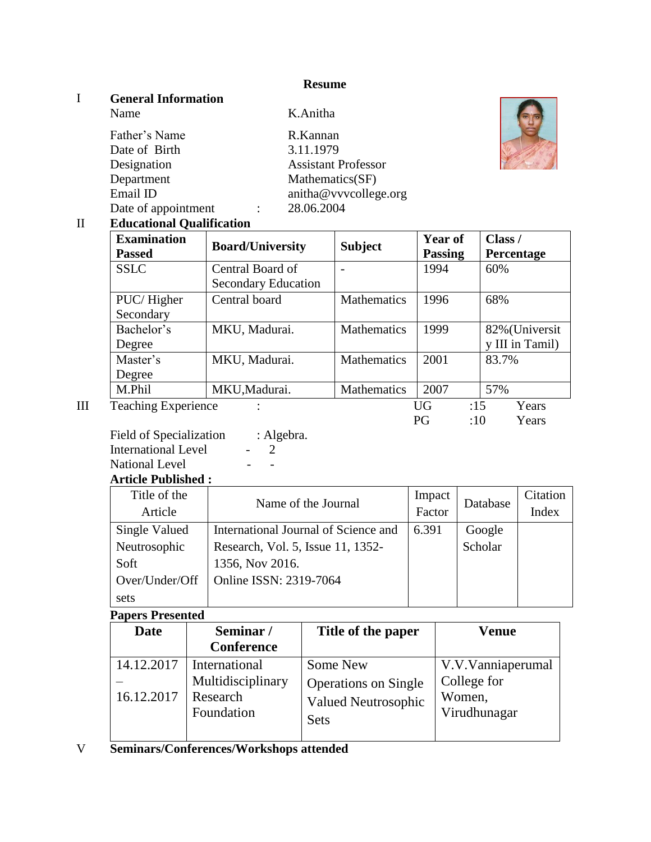#### **Resume**

K.Anitha

### I **General Information**

| Father's Name       | R.Kannan                   |
|---------------------|----------------------------|
| Date of Birth       | 3.11.1979                  |
| Designation         | <b>Assistant Professor</b> |
| Department          | Mathematics(SF)            |
| Email ID            | anitha@vvvcollege.org      |
| Date of appointment | 28.06.2004                 |
|                     |                            |



### II **Educational Qualification**

| <b>Examination</b><br><b>Passed</b> | <b>Board/University</b>    | <b>Subject</b>     | <b>Year of</b><br><b>Passing</b> | Class /<br>Percentage |
|-------------------------------------|----------------------------|--------------------|----------------------------------|-----------------------|
| <b>SSLC</b>                         | Central Board of           |                    | 1994                             | 60%                   |
|                                     | <b>Secondary Education</b> |                    |                                  |                       |
| PUC/Higher                          | Central board              | Mathematics        | 1996                             | 68%                   |
| Secondary                           |                            |                    |                                  |                       |
| Bachelor's                          | MKU, Madurai.              | Mathematics        | 1999                             | 82% (Universit        |
| Degree                              |                            |                    |                                  | y III in Tamil)       |
| Master's                            | MKU, Madurai.              | <b>Mathematics</b> | 2001                             | 83.7%                 |
| Degree                              |                            |                    |                                  |                       |
| M.Phil                              | MKU, Madurai.              | Mathematics        | 2007                             | 57%                   |
| <b>Teaching Experience</b>          |                            |                    | UG                               | :15<br>Years          |

| PG | :10 | Years |
|----|-----|-------|

Field of Specialization : Algebra. International Level - 2 National Level - -

**Article Published :**

| Title of the   | Name of the Journal                  | Impact | Database | Citation |
|----------------|--------------------------------------|--------|----------|----------|
| Article        |                                      | Factor |          | Index    |
| Single Valued  | International Journal of Science and | 6.391  | Google   |          |
| Neutrosophic   | Research, Vol. 5, Issue 11, 1352-    |        | Scholar  |          |
| Soft           | 1356, Nov 2016.                      |        |          |          |
| Over/Under/Off | Online ISSN: 2319-7064               |        |          |          |
| sets           |                                      |        |          |          |

## **Papers Presented**

| Date                     | Seminar/                                                     | Title of the paper                                                                   | Venue                                                      |
|--------------------------|--------------------------------------------------------------|--------------------------------------------------------------------------------------|------------------------------------------------------------|
|                          | <b>Conference</b>                                            |                                                                                      |                                                            |
| 14.12.2017<br>16.12.2017 | International<br>Multidisciplinary<br>Research<br>Foundation | Some New<br><b>Operations on Single</b><br><b>Valued Neutrosophic</b><br><b>Sets</b> | V.V.Vanniaperumal<br>College for<br>Women,<br>Virudhunagar |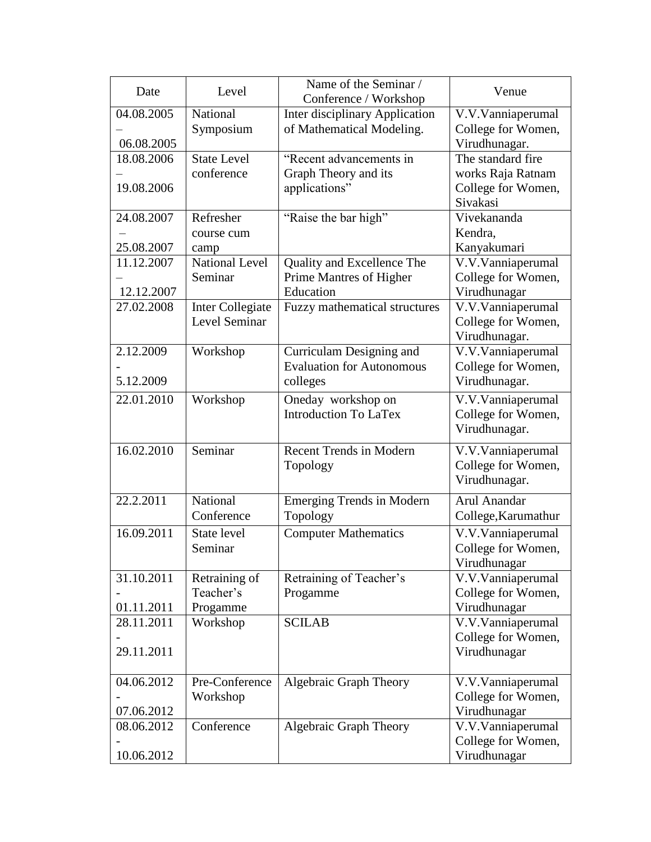| Date       | Level                            | Name of the Seminar /<br>Conference / Workshop | Venue                                   |
|------------|----------------------------------|------------------------------------------------|-----------------------------------------|
| 04.08.2005 | National                         | Inter disciplinary Application                 | V.V.Vanniaperumal                       |
|            | Symposium                        | of Mathematical Modeling.                      | College for Women,                      |
| 06.08.2005 |                                  |                                                | Virudhunagar.                           |
| 18.08.2006 | <b>State Level</b><br>conference | "Recent advancements in                        | The standard fire                       |
| 19.08.2006 |                                  | Graph Theory and its<br>applications"          | works Raja Ratnam<br>College for Women, |
|            |                                  |                                                | Sivakasi                                |
| 24.08.2007 | Refresher                        | "Raise the bar high"                           | Vivekananda                             |
|            | course cum                       |                                                | Kendra,                                 |
| 25.08.2007 | camp                             |                                                | Kanyakumari                             |
| 11.12.2007 | <b>National Level</b>            | Quality and Excellence The                     | V.V.Vanniaperumal                       |
|            | Seminar                          | Prime Mantres of Higher                        | College for Women,                      |
| 12.12.2007 |                                  | Education                                      | Virudhunagar                            |
| 27.02.2008 | <b>Inter Collegiate</b>          | Fuzzy mathematical structures                  | V.V.Vanniaperumal                       |
|            | Level Seminar                    |                                                | College for Women,                      |
| 2.12.2009  | Workshop                         | Curriculam Designing and                       | Virudhunagar.<br>V.V.Vanniaperumal      |
|            |                                  | <b>Evaluation for Autonomous</b>               | College for Women,                      |
| 5.12.2009  |                                  | colleges                                       | Virudhunagar.                           |
| 22.01.2010 | Workshop                         | Oneday workshop on                             | V.V.Vanniaperumal                       |
|            |                                  | <b>Introduction To LaTex</b>                   | College for Women,                      |
|            |                                  |                                                | Virudhunagar.                           |
| 16.02.2010 | Seminar                          | <b>Recent Trends in Modern</b>                 | V.V.Vanniaperumal                       |
|            |                                  | Topology                                       | College for Women,                      |
|            |                                  |                                                | Virudhunagar.                           |
| 22.2.2011  | National                         | <b>Emerging Trends in Modern</b>               | Arul Anandar                            |
|            | Conference                       | Topology                                       | College, Karumathur                     |
| 16.09.2011 | <b>State level</b>               | <b>Computer Mathematics</b>                    | V.V.Vanniaperumal                       |
|            | Seminar                          |                                                | College for Women,                      |
|            |                                  |                                                | Virudhunagar                            |
| 31.10.2011 | Retraining of                    | Retraining of Teacher's                        | $\overline{V}$ . V. Vannia perumal      |
|            | Teacher's                        | Progamme                                       | College for Women,                      |
| 01.11.2011 | Progamme                         | <b>SCILAB</b>                                  | Virudhunagar                            |
| 28.11.2011 | Workshop                         |                                                | V.V.Vanniaperumal<br>College for Women, |
| 29.11.2011 |                                  |                                                | Virudhunagar                            |
|            |                                  |                                                |                                         |
| 04.06.2012 | Pre-Conference                   | Algebraic Graph Theory                         | V.V.Vanniaperumal                       |
|            | Workshop                         |                                                | College for Women,                      |
| 07.06.2012 |                                  |                                                | Virudhunagar                            |
| 08.06.2012 | Conference                       | Algebraic Graph Theory                         | V.V.Vanniaperumal                       |
|            |                                  |                                                | College for Women,                      |
| 10.06.2012 |                                  |                                                | Virudhunagar                            |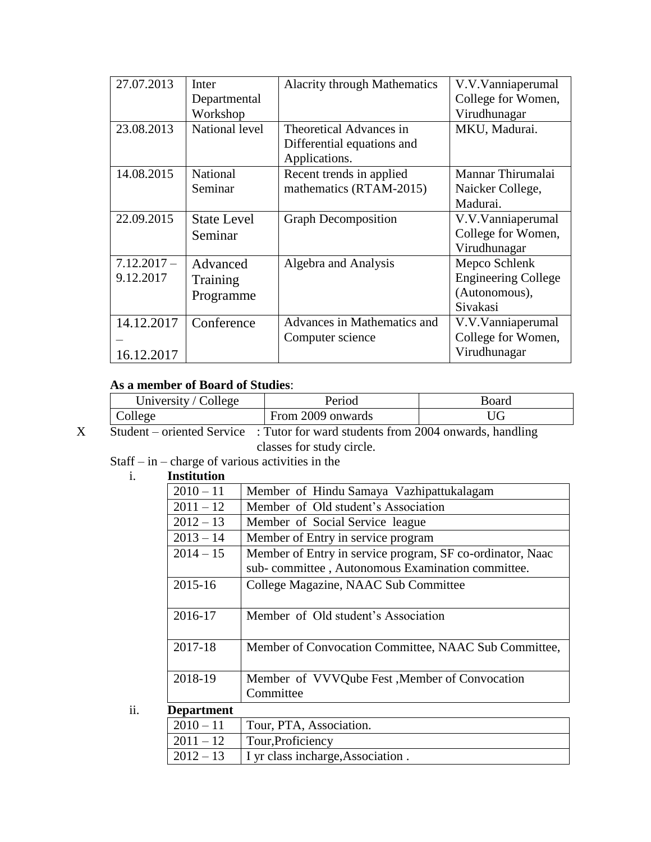| 27.07.2013    | Inter              | <b>Alacrity through Mathematics</b> | V.V.Vanniaperumal          |
|---------------|--------------------|-------------------------------------|----------------------------|
|               | Departmental       |                                     | College for Women,         |
|               | Workshop           |                                     | Virudhunagar               |
| 23.08.2013    | National level     | Theoretical Advances in             | MKU, Madurai.              |
|               |                    | Differential equations and          |                            |
|               |                    | Applications.                       |                            |
| 14.08.2015    | National           | Recent trends in applied            | Mannar Thirumalai          |
|               | Seminar            | mathematics (RTAM-2015)             | Naicker College,           |
|               |                    |                                     | Madurai.                   |
| 22.09.2015    | <b>State Level</b> | <b>Graph Decomposition</b>          | V.V.Vanniaperumal          |
|               | Seminar            |                                     | College for Women,         |
|               |                    |                                     | Virudhunagar               |
| $7.12.2017 -$ | Advanced           | Algebra and Analysis                | Mepco Schlenk              |
| 9.12.2017     | Training           |                                     | <b>Engineering College</b> |
|               | Programme          |                                     | (Autonomous),              |
|               |                    |                                     | Sivakasi                   |
| 14.12.2017    | Conference         | Advances in Mathematics and         | V.V.Vanniaperumal          |
|               |                    | Computer science                    | College for Women,         |
| 16.12.2017    |                    |                                     | Virudhunagar               |

# **As a member of Board of Studies**:

| University / College | Period            | Board |
|----------------------|-------------------|-------|
| $\angle$ ollege      | From 2009 onwards |       |

| X | Student – oriented Service : Tutor for ward students from 2004 onwards, handling |
|---|----------------------------------------------------------------------------------|
|   | classes for study circle.                                                        |

Staff – in – charge of various activities in the

| <b>Institution</b> |                                                           |
|--------------------|-----------------------------------------------------------|
| $2010 - 11$        | Member of Hindu Samaya Vazhipattukalagam                  |
| $2011 - 12$        | Member of Old student's Association                       |
| $2012 - 13$        | Member of Social Service league                           |
| $2013 - 14$        | Member of Entry in service program                        |
| $2014 - 15$        | Member of Entry in service program, SF co-ordinator, Naac |
|                    | sub-committee, Autonomous Examination committee.          |
| 2015-16            | College Magazine, NAAC Sub Committee                      |
| 2016-17            | Member of Old student's Association                       |
| 2017-18            | Member of Convocation Committee, NAAC Sub Committee,      |
| 2018-19            | Member of VVVQube Fest, Member of Convocation             |
|                    | Committee                                                 |
| <b>Department</b>  |                                                           |
|                    |                                                           |

| DUPHL UNUNI  |                                                           |
|--------------|-----------------------------------------------------------|
| $2010 - 11$  | Tour, PTA, Association.                                   |
| $ 2011 - 12$ | Tour, Proficiency                                         |
|              | $\vert 2012 - 13 \vert$ I yr class incharge, Association. |
|              |                                                           |